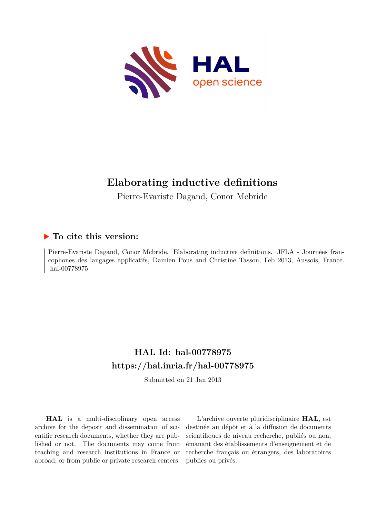

# **Elaborating inductive definitions**

Pierre-Evariste Dagand, Conor Mcbride

# **To cite this version:**

Pierre-Evariste Dagand, Conor Mcbride. Elaborating inductive definitions. JFLA - Journées francophones des langages applicatifs, Damien Pous and Christine Tasson, Feb 2013, Aussois, France. hal-00778975

# **HAL Id: hal-00778975 <https://hal.inria.fr/hal-00778975>**

Submitted on 21 Jan 2013

**HAL** is a multi-disciplinary open access archive for the deposit and dissemination of scientific research documents, whether they are published or not. The documents may come from teaching and research institutions in France or abroad, or from public or private research centers.

L'archive ouverte pluridisciplinaire **HAL**, est destinée au dépôt et à la diffusion de documents scientifiques de niveau recherche, publiés ou non, émanant des établissements d'enseignement et de recherche français ou étrangers, des laboratoires publics ou privés.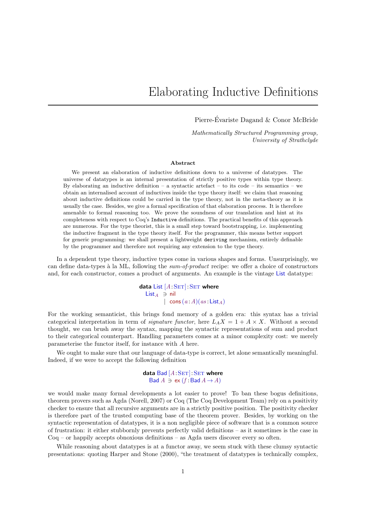# Elaborating Inductive Definitions

Pierre-Evariste Dagand & Conor McBride ´

Mathematically Structured Programming group, University of Strathclyde

#### Abstract

We present an elaboration of inductive definitions down to a universe of datatypes. The universe of datatypes is an internal presentation of strictly positive types within type theory. By elaborating an inductive definition – a syntactic artefact – to its code – its semantics – we obtain an internalised account of inductives inside the type theory itself: we claim that reasoning about inductive definitions could be carried in the type theory, not in the meta-theory as it is usually the case. Besides, we give a formal specification of that elaboration process. It is therefore amenable to formal reasoning too. We prove the soundness of our translation and hint at its completeness with respect to Coq's Inductive definitions. The practical benefits of this approach are numerous. For the type theorist, this is a small step toward bootstrapping, i.e. implementing the inductive fragment in the type theory itself. For the programmer, this means better support for generic programming: we shall present a lightweight deriving mechanism, entirely definable by the programmer and therefore not requiring any extension to the type theory.

In a dependent type theory, inductive types come in various shapes and forms. Unsurprisingly, we can define data-types à la ML, following the sum-of-product recipe: we offer a choice of constructors and, for each constructor, comes a product of arguments. An example is the vintage List datatype:

> data List  $[A:SET]: SET$  where  $List_A \ni nil$ | cons $(a : A)(as : \mathsf{List}_A)$

For the working semanticist, this brings fond memory of a golden era: this syntax has a trivial categorical interpretation in term of *signature functor*, here  $L_A X = 1 + A \times X$ . Without a second thought, we can brush away the syntax, mapping the syntactic representations of sum and product to their categorical counterpart. Handling parameters comes at a minor complexity cost: we merely parameterise the functor itself, for instance with A here.

We ought to make sure that our language of data-type is correct, let alone semantically meaningful. Indeed, if we were to accept the following definition

#### data Bad  $[A:SET]: SET$  where Bad  $A \ni ex$  (f:Bad  $A \rightarrow A$ )

we would make many formal developments a lot easier to prove! To ban these bogus definitions, theorem provers such as Agda (Norell, 2007) or Coq (The Coq Development Team) rely on a positivity checker to ensure that all recursive arguments are in a strictly positive position. The positivity checker is therefore part of the trusted computing base of the theorem prover. Besides, by working on the syntactic representation of datatypes, it is a non negligible piece of software that is a common source of frustration: it either stubbornly prevents perfectly valid definitions – as it sometimes is the case in Coq – or happily accepts obnoxious definitions – as Agda users discover every so often.

While reasoning about datatypes is at a functor away, we seem stuck with these clumsy syntactic presentations: quoting Harper and Stone (2000), "the treatment of datatypes is technically complex,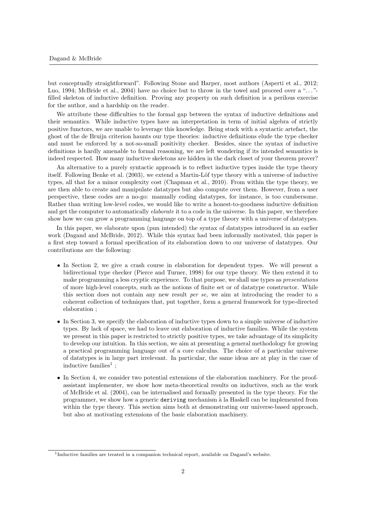but conceptually straightforward". Following Stone and Harper, most authors (Asperti et al., 2012; Luo, 1994; McBride et al., 2004) have no choice but to throw in the towel and proceed over a "..."filled skeleton of inductive definition. Proving any property on such definition is a perilous exercise for the author, and a hardship on the reader.

We attribute these difficulties to the formal gap between the syntax of inductive definitions and their semantics. While inductive types have an interpretation in term of initial algebra of strictly positive functors, we are unable to leverage this knowledge. Being stuck with a syntactic artefact, the ghost of the de Bruijn criterion haunts our type theories: inductive definitions elude the type checker and must be enforced by a not-so-small positivity checker. Besides, since the syntax of inductive definitions is hardly amenable to formal reasoning, we are left wondering if its intended semantics is indeed respected. How many inductive skeletons are hidden in the dark closet of your theorem prover?

An alternative to a purely syntactic approach is to reflect inductive types inside the type theory itself. Following Benke et al. (2003), we extend a Martin-Löf type theory with a universe of inductive types, all that for a minor complexity cost (Chapman et al., 2010). From within the type theory, we are then able to create and manipulate datatypes but also compute over them. However, from a user perspective, these codes are a no-go: manually coding datatypes, for instance, is too cumbersome. Rather than writing low-level codes, we would like to write a honest-to-goodness inductive definition and get the computer to automatically *elaborate* it to a code in the universe. In this paper, we therefore show how we can grow a programming language on top of a type theory with a universe of datatypes.

In this paper, we elaborate upon (pun intended) the syntax of datatypes introduced in an earlier work (Dagand and McBride, 2012). While this syntax had been informally motivated, this paper is a first step toward a formal specification of its elaboration down to our universe of datatypes. Our contributions are the following:

- In Section 2, we give a crash course in elaboration for dependent types. We will present a bidirectional type checker (Pierce and Turner, 1998) for our type theory. We then extend it to make programming a less cryptic experience. To that purpose, we shall use types as presentations of more high-level concepts, such as the notions of finite set or of datatype constructor. While this section does not contain any new result per se, we aim at introducing the reader to a coherent collection of techniques that, put together, form a general framework for type-directed elaboration ;
- In Section 3, we specify the elaboration of inductive types down to a simple universe of inductive types. By lack of space, we had to leave out elaboration of inductive families. While the system we present in this paper is restricted to strictly positive types, we take advantage of its simplicity to develop our intuition. In this section, we aim at presenting a general methodology for growing a practical programming language out of a core calculus. The choice of a particular universe of datatypes is in large part irrelevant. In particular, the same ideas are at play in the case of inductive families<sup>1</sup>;
- In Section 4, we consider two potential extensions of the elaboration machinery. For the proofassistant implementer, we show how meta-theoretical results on inductives, such as the work of McBride et al. (2004), can be internalised and formally presented in the type theory. For the programmer, we show how a generic deriving mechanism à la Haskell can be implemented from within the type theory. This section aims both at demonstrating our universe-based approach, but also at motivating extensions of the basic elaboration machinery.

<sup>1</sup> Inductive families are treated in a companion technical report, available on Dagand's website.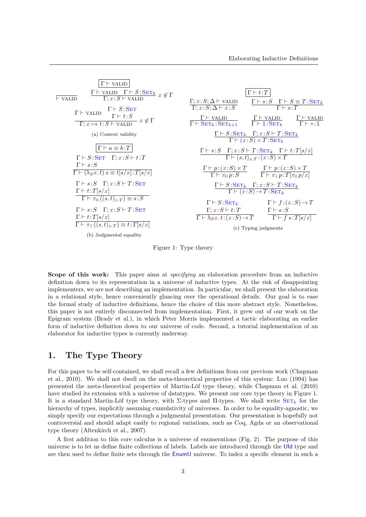

Figure 1: Type theory

Scope of this work: This paper aims at *specifying* an elaboration procedure from an inductive definition down to its representation in a universe of inductive types. At the risk of disappointing implementers, we are not describing an implementation. In particular, we shall present the elaboration in a relational style, hence conveniently glancing over the operational details. Our goal is to ease the formal study of inductive definitions, hence the choice of this more abstract style. Nonetheless, this paper is not entirely disconnected from implementation. First, it grew out of our work on the Epigram system (Brady et al.), in which Peter Morris implemented a tactic elaborating an earlier form of inductive definition down to our universe of code. Second, a tutorial implementation of an elaborator for inductive types is currently underway.

# 1. The Type Theory

For this paper to be self-contained, we shall recall a few definitions from our previous work (Chapman et al., 2010). We shall not dwell on the meta-theoretical properties of this system: Luo (1994) has presented the meta-theoretical properties of Martin-Löf type theory, while Chapman et al. (2010) have studied its extension with a universe of datatypes. We present our core type theory in Figure 1. It is a standard Martin-Löf type theory, with  $\Sigma$ -types and  $\Pi$ -types. We shall write  $\text{SET}_k$  for the hierarchy of types, implicitly assuming cumulativity of universes. In order to be equality-agnostic, we simply specify our expectations through a judgmental presentation. Our presentation is hopefully not controversial and should adapt easily to regional variations, such as Coq, Agda or an observational type theory (Altenkirch et al., 2007).

A first addition to this core calculus is a universe of enumerations (Fig. 2). The purpose of this universe is to let us define finite collections of labels. Labels are introduced through the UId type and are then used to define finite sets through the EnumU universe. To index a specific element in such a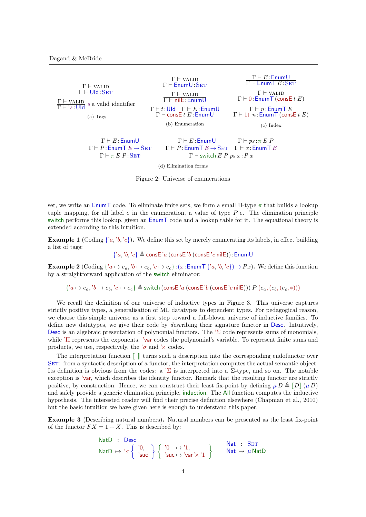

Figure 2: Universe of enumerations

set, we write an  $\text{Enum}$  code. To eliminate finite sets, we form a small  $\Pi$ -type  $\pi$  that builds a lookup tuple mapping, for all label  $e$  in the enumeration, a value of type  $Pe$ . The elimination principle switch performs this lookup, given an EnumT code and a lookup table for it. The equational theory is extended according to this intuition.

**Example 1** (Coding  $\{a, b, c\}$ ). We define this set by merely enumerating its labels, in effect building a list of tags:

 ${a, 'b, 'c} \triangleq \text{consE } 'a \text{ (consE } 'b \text{ (consE } 'c \text{ nilE)})$ : EnumU

**Example 2** (Coding  $\{a \mapsto e_a, b \mapsto e_b, c \mapsto e_c\}$ :  $(x : \text{EnumT} \{a, b, c\}) \mapsto Px$ ). We define this function by a straightforward application of the switch eliminator:

 ${a \mapsto e_a, 'b \mapsto e_b, 'c \mapsto e_c} \triangleq$  switch (consE 'a (consE 'b (consE 'c nilE)))  $P(e_a,(e_b,(e_c,*)))$ 

We recall the definition of our universe of inductive types in Figure 3. This universe captures strictly positive types, a generalisation of ML datatypes to dependent types. For pedagogical reason, we choose this simple universe as a first step toward a full-blown universe of inductive families. To define new datatypes, we give their code by describing their signature functor in Desc. Intuitively, Desc is an algebraic presentation of polynomial functors. The  $\Sigma$  code represents sums of monomials, while 'Π represents the exponents. 'var codes the polynomial's variable. To represent finite sums and products, we use, respectively, the ' $\sigma$  and ' $\times$  codes.

The interpretation function  $\llbracket \cdot \rrbracket$  turns such a description into the corresponding endofunctor over SET: from a syntactic description of a functor, the interpretation computes the actual semantic object. Its definition is obvious from the codes: a  $\Sigma$  is interpreted into a  $\Sigma$ -type, and so on. The notable exception is 'var, which describes the identity functor. Remark that the resulting functor are strictly positive, by construction. Hence, we can construct their least fix-point by defining  $\mu D \triangleq ||D|| (\mu D)$ and safely provide a generic elimination principle, induction. The All function computes the inductive hypothesis. The interested reader will find their precise definition elsewhere (Chapman et al., 2010) but the basic intuition we have given here is enough to understand this paper.

Example 3 (Describing natural numbers). Natural numbers can be presented as the least fix-point of the functor  $FX = 1 + X$ . This is described by:

$$
\begin{array}{ll}\n\text{NatD} & \text{: } \text{Desc} \\
\text{NatD} & \mapsto \text{'\sigma} \left\{ \begin{array}{l} \text{'0,} \\ \text{'suc} \end{array} \right\} \left\{ \begin{array}{l} \text{'0 -} \mapsto \text{'1,} \\ \text{'suc} \mapsto \text{'var} \times \text{'1} \end{array} \right\} \\
\text{Nat -} \text{Nat -} \text{Nat} \mapsto \mu \text{NatD}\n\end{array}
$$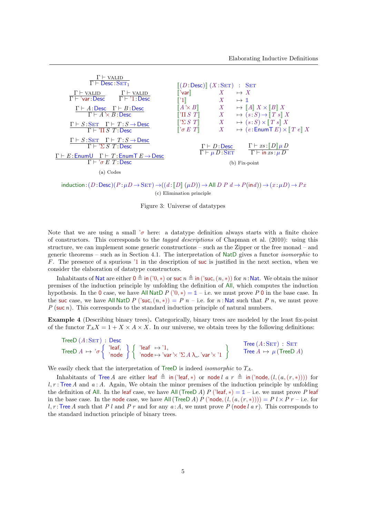| $\Gamma \vdash$ valid<br>$\overline{\Gamma \vdash}$ Desc : $\text{SET}_1$                                                          | $\left[ (D:\text{Desc}) \right] (X:\text{SET})$ : SET                                                           |                                           |                            |                                                                                                                    |
|------------------------------------------------------------------------------------------------------------------------------------|-----------------------------------------------------------------------------------------------------------------|-------------------------------------------|----------------------------|--------------------------------------------------------------------------------------------------------------------|
| $\Gamma \vdash$ valid<br>$\Gamma \vdash$ valid<br>$\Gamma \vdash 'var:Desc \qquad \Gamma \vdash '1:Desc$                           | $\ $ 'var $\ $<br>$\ 1\ $                                                                                       | X<br>$X$ and $X$                          | $\mapsto X$<br>$\mapsto$ 1 |                                                                                                                    |
| $\Gamma \vdash A :$ Desc $\Gamma \vdash B :$ Desc<br>$\Gamma \vdash A \times B :$ Desc                                             | $[A \times B]$<br>$\lbrack \lbrack \mathbf{T} \rbrack S \rbrack T \rbrack$                                      | X<br>X                                    |                            | $\mapsto$ $\llbracket A \rrbracket X \times \llbracket B \rrbracket X$<br>$\mapsto$ $(s: S) \rightarrow   T s   X$ |
| $\Gamma \vdash S : \text{SET}$ $\Gamma \vdash T : S \rightarrow \text{Desc}$<br>$\Gamma \vdash \text{'} \Pi S T$ : Desc            | $\lbrack\!\lbrack\!\lbrack\Sigma S\ T\rbrack\!\rbrack$<br>$\lbrack\!\lbrack\!\lbrack\sigma E\!\rbrack\!\rbrack$ | $X$ and $X$<br>X                          |                            | $\mapsto$ $(s: S) \times [T s] X$<br>$\mapsto$ (e: EnumT E) $\times$ $T e \mid X$                                  |
| $\Gamma \vdash S : \text{SET}$ $\Gamma \vdash T : S \rightarrow \text{Desc}$<br>$\Gamma \vdash \Sigma S T :$ Desc                  |                                                                                                                 | $\Gamma \vdash D:$ Desc                   |                            | $\Gamma \vdash xs : \ D\ \mu\,D$                                                                                   |
| $\Gamma \vdash E$ : Enum $\cup \Gamma \vdash T$ : Enum $\top E \rightarrow$ Desc<br>$\Gamma \vdash \text{'}\sigma E T:\text{Desc}$ |                                                                                                                 | $\Gamma \vdash \mu D \colon \mathbf{SET}$ |                            | $\overline{\Gamma \vdash \text{in}}$ $xs : \mu D$<br>$(b) Fix-point$                                               |
| (a) Codes                                                                                                                          |                                                                                                                 |                                           |                            |                                                                                                                    |

 $induction:(D:\text{Desc})(P:\mu D \to \text{SET}) \to ((d : ||D|| (\mu D)) \to \text{All } D P d \to P(\text{ind})) \to (x : \mu D) \to Px$ (c) Elimination principle

#### Figure 3: Universe of datatypes

Note that we are using a small ' $\sigma$  here: a datatype definition always starts with a finite choice of constructors. This corresponds to the tagged descriptions of Chapman et al. (2010): using this structure, we can implement some generic constructions – such as the Zipper or the free monad – and generic theorems – such as in Section 4.1. The interpretation of NatD gives a functor isomorphic to F. The presence of a spurious '1 in the description of suc is justified in the next section, when we consider the elaboration of datatype constructors.

Inhabitants of Nat are either  $0 \triangleq$  in ('0, \*) or suc  $n \triangleq$  in ('suc,  $(n, *)$ ) for n:Nat. We obtain the minor premises of the induction principle by unfolding the definition of All, which computes the induction hypothesis. In the 0 case, we have All NatD  $P(0,*) = 1 - i$ .e. we must prove P 0 in the base case. In the suc case, we have All NatD P ('suc,  $(n, *)$ ) = P n – i.e. for n: Nat such that P n, we must prove  $P$  (suc n). This corresponds to the standard induction principle of natural numbers.

Example 4 (Describing binary trees). Categorically, binary trees are modeled by the least fix-point of the functor  $T_A X = 1 + X \times A \times X$ . In our universe, we obtain trees by the following definitions:

TreeD (A:SET): Desc

\nTreeD 
$$
A \mapsto {}^{'}\sigma
$$
 { 'leaf, } 'node ] { 'leaf, 'index } 'node \mapsto {}^{'}\sigma

\nTreeA  $\mapsto \mu$  (TreeD A)

We easily check that the interpretation of TreeD is indeed *isomorphic* to  $T_A$ .

Inhabitants of Tree A are either leaf  $\triangleq$  in ('leaf, \*) or node l a  $r \triangleq$  in ('node,  $(l, (a,(r,*)))$ ) for  $l, r$ : Tree A and  $a : A$ . Again, We obtain the minor premises of the induction principle by unfolding the definition of All. In the leaf case, we have All (TreeD A) P ('leaf, \*) =  $\mathbb{1}$  – i.e. we must prove P leaf in the base case. In the node case, we have All (TreeD A) P ('node,  $(l, (a,(r,*))) = P l \times P r$  – i.e. for l, r: Tree A such that P l and P r and for any  $a:A$ , we must prove P (node l a r). This corresponds to the standard induction principle of binary trees.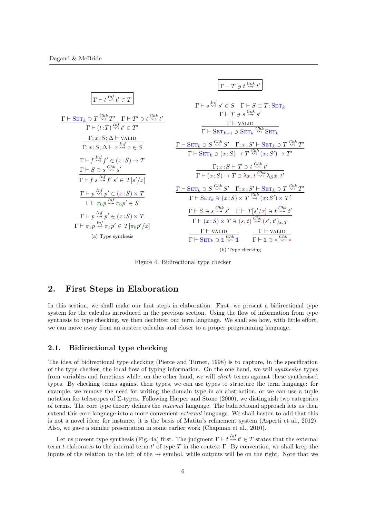

Figure 4: Bidirectional type checker

## 2. First Steps in Elaboration

In this section, we shall make our first steps in elaboration. First, we present a bidirectional type system for the calculus introduced in the previous section. Using the flow of information from type synthesis to type checking, we then declutter our term language. We shall see how, with little effort, we can move away from an austere calculus and closer to a proper programming language.

#### 2.1. Bidirectional type checking

The idea of bidirectional type checking (Pierce and Turner, 1998) is to capture, in the specification of the type checker, the local flow of typing information. On the one hand, we will synthesise types from variables and functions while, on the other hand, we will check terms against these synthesised types. By checking terms against their types, we can use types to structure the term language: for example, we remove the need for writing the domain type in an abstraction, or we can use a tuple notation for telescopes of  $\Sigma$ -types. Following Harper and Stone (2000), we distinguish two categories of terms. The core type theory defines the internal language. The bidirectional approach lets us then extend this core language into a more convenient external language. We shall hasten to add that this is not a novel idea: for instance, it is the basis of Matita's refinement system (Asperti et al., 2012). Also, we gave a similar presentation in some earlier work (Chapman et al., 2010).

Let us present type synthesis (Fig. 4a) first. The judgment  $\Gamma \vdash t \stackrel{Inf}{\leadsto} t' \in T$  states that the external term t elaborates to the internal term t' of type T in the context  $\Gamma$ . By convention, we shall keep the inputs of the relation to the left of the  $\sim$  symbol, while outputs will be on the right. Note that we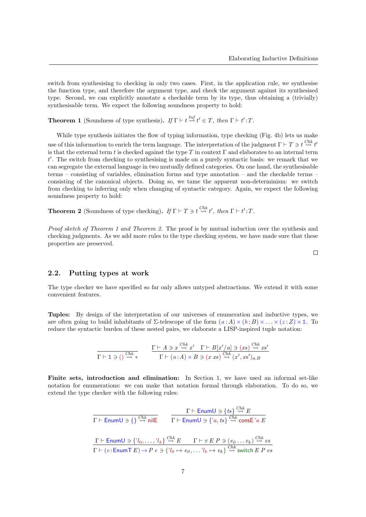switch from synthesising to checking in only two cases. First, in the application rule, we synthesise the function type, and therefore the argument type, and check the argument against its synthesised type. Second, we can explicitly annotate a checkable term by its type, thus obtaining a (trivially) synthesisable term. We expect the following soundness property to hold:

**Theorem 1** (Soundness of type synthesis). If  $\Gamma \vdash t \stackrel{Inf}{\leadsto} t' \in T$ , then  $\Gamma \vdash t'$ : T.

While type synthesis initiates the flow of typing information, type checking (Fig. 4b) lets us make use of this information to enrich the term language. The interpretation of the judgment  $\Gamma \vdash T \ni t \stackrel{Chk}{\leadsto} t'$ is that the external term t is checked against the type T in context  $\Gamma$  and elaborates to an internal term  $t'$ . The switch from checking to synthesising is made on a purely syntactic basis: we remark that we can segregate the external language in two mutually defined categories. On one hand, the synthesisable terms – consisting of variables, elimination forms and type annotation – and the checkable terms – consisting of the canonical objects. Doing so, we tame the apparent non-determinism: we switch from checking to inferring only when changing of syntactic category. Again, we expect the following soundness property to hold:

**Theorem 2** (Soundness of type checking). If  $\Gamma \vdash T \ni t \stackrel{Chk}{\leadsto} t'$ , then  $\Gamma \vdash t'$ : T.

Proof sketch of Theorem 1 and Theorem 2. The proof is by mutual induction over the synthesis and checking judgments. As we add more rules to the type checking system, we have made sure that these properties are preserved.

#### 2.2. Putting types at work

The type checker we have specified so far only allows untyped abstractions. We extend it with some convenient features.

Tuples: By design of the interpretation of our universes of enumeration and inductive types, we are often going to build inhabitants of  $\Sigma$ -telescope of the form  $(a : A) \times (b : B) \times \ldots \times (z : Z) \times \mathbb{1}$ . To reduce the syntactic burden of these nested pairs, we elaborate a LISP-inspired tuple notation:

$$
\frac{\Gamma \vdash A \ni x \stackrel{Chk}{\leadsto} x' \quad \Gamma \vdash B[x'/a] \ni (xs) \stackrel{Chk}{\leadsto} xs}{\Gamma \vdash (a:A) \times B \ni (x \, xs) \stackrel{Chk}{\leadsto} (x', xs')_{a,B}}
$$

Finite sets, introduction and elimination: In Section 1, we have used an informal set-like notation for enumerations: we can make that notation formal through elaboration. To do so, we extend the type checker with the following rules:

$$
\Gamma \vdash \text{EnumU} \ni \{\} \xrightarrow{Chk} \text{nil} \qquad \Gamma \vdash \text{EnumU} \ni \{ts\} \xrightarrow{Chk} \text{cons} \text{E}
$$
\n
$$
\Gamma \vdash \text{EnumU} \ni \{?a, ts\} \xrightarrow{Chk} \text{cons} \text{E} \ni a \text{E}
$$
\n
$$
\Gamma \vdash \text{EnumU} \ni \{?l_0, \dots, ?l_k\} \xrightarrow{Chk} E \qquad \Gamma \vdash \pi \text{E} \ P \ni (e_0 \dots e_k) \xrightarrow{Chk} es
$$
\n
$$
\Gamma \vdash (e: \text{EnumT} \ E) \rightarrow P \ e \ni \{?l_0 \mapsto e_0, \dots ?l_k \mapsto e_k\} \xrightarrow{Chk} \text{switch} \ E \ P \ es
$$

 $\Box$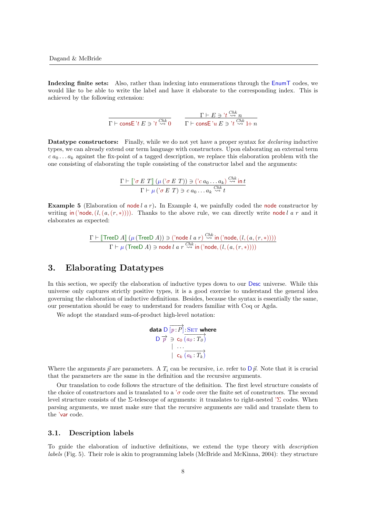Indexing finite sets: Also, rather than indexing into enumerations through the EnumT codes, we would like to be able to write the label and have it elaborate to the corresponding index. This is achieved by the following extension:

$$
\frac{\Gamma \vdash E \ni 't \stackrel{Chk}{\leadsto} n}{\Gamma \vdash \mathsf{cons} \mathsf{E} \ni t \stackrel{Chk}{\leadsto} 0} \qquad \frac{\Gamma \vdash E \ni 't \stackrel{Chk}{\leadsto} n}{\Gamma \vdash \mathsf{cons} \mathsf{E} \ni t \stackrel{Chk}{\leadsto} 1 + n}
$$

Datatype constructors: Finally, while we do not yet have a proper syntax for *declaring* inductive types, we can already extend our term language with constructors. Upon elaborating an external term  $c \, a_0 \ldots a_k$  against the fix-point of a tagged description, we replace this elaboration problem with the one consisting of elaborating the tuple consisting of the constructor label and the arguments:

$$
\frac{\Gamma \vdash [\neg \sigma E \ T ] \ (\mu (\neg \sigma E \ T)) \ni (\neg c \ a_0 \dots a_k) \stackrel{Chk}{\leadsto} \text{in} \ t}{\Gamma \vdash \mu (\neg \sigma E \ T) \ni c \ a_0 \dots a_k \stackrel{Chk}{\leadsto} t}
$$

**Example 5** (Elaboration of node l  $a r$ ). In Example 4, we painfully coded the node constructor by writing in ('node,  $(l, (a,(r, *)))$ ). Thanks to the above rule, we can directly write node l a r and it elaborates as expected:

$$
\frac{\Gamma \vdash \llbracket \text{TreeD } A \rrbracket ~ (\mu ~ (\text{TreeD } A)) \ni (\text{'node } l ~ a ~ r) \stackrel{Chk}{\leadsto} \text{in } (\text{'node}, (l, (a, (r, *))))}{\Gamma \vdash \mu ~ (\text{TreeD } A) \ni \text{node } l ~ a ~ r \stackrel{Chk}{\leadsto} \text{in } (\text{'node}, (l, (a, (r, *))))}
$$

# 3. Elaborating Datatypes

In this section, we specify the elaboration of inductive types down to our Desc universe. While this universe only captures strictly positive types, it is a good exercise to understand the general idea governing the elaboration of inductive definitions. Besides, because the syntax is essentially the same, our presentation should be easy to understand for readers familiar with Coq or Agda.

We adopt the standard sum-of-product high-level notation:

**data** D 
$$
\overrightarrow{[p:P]} : \overrightarrow{SET}
$$
 where  
D  $\overrightarrow{p}$   $\Rightarrow$  c<sub>0</sub>  $\overrightarrow{(a_0 : T_0)}$   
 $\qquad \qquad |$  ...  
 $\qquad \qquad |$  c<sub>k</sub>  $\overrightarrow{(a_k : T_k)}$ 

Where the arguments  $\vec{p}$  are parameters. A  $T_i$  can be recursive, i.e. refer to  $\vec{p}$ . Note that it is crucial that the parameters are the same in the definition and the recursive arguments.

Our translation to code follows the structure of the definition. The first level structure consists of the choice of constructors and is translated to a ' $\sigma$  code over the finite set of constructors. The second level structure consists of the Σ-telescope of arguments: it translates to right-nested 'Σ codes. When parsing arguments, we must make sure that the recursive arguments are valid and translate them to the 'var code.

#### 3.1. Description labels

To guide the elaboration of inductive definitions, we extend the type theory with description labels (Fig. 5). Their role is akin to programming labels (McBride and McKinna, 2004): they structure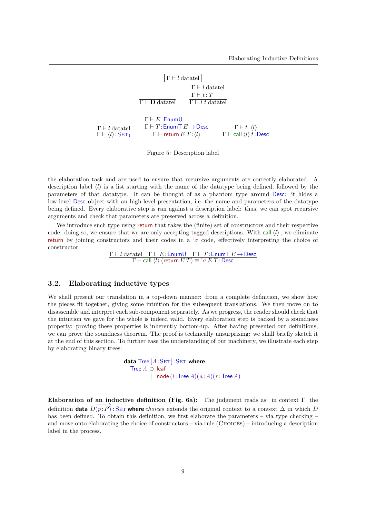

Figure 5: Description label

the elaboration task and are used to ensure that recursive arguments are correctly elaborated. A description label  $\langle l \rangle$  is a list starting with the name of the datatype being defined, followed by the parameters of that datatype. It can be thought of as a phantom type around Desc: it hides a low-level Desc object with an high-level presentation, i.e. the name and parameters of the datatype being defined. Every elaborative step is ran against a description label: thus, we can spot recursive arguments and check that parameters are preserved across a definition.

We introduce such type using return that takes the (finite) set of constructors and their respective code: doing so, we ensure that we are only accepting tagged descriptions. With call  $\langle l \rangle$ , we eliminate return by joining constructors and their codes in a  $\sigma$  code, effectively interpreting the choice of constructor:

> $\Gamma \vdash l$  datatel  $\Gamma \vdash E$ : EnumU  $\Gamma \vdash T$ : EnumT  $E \rightarrow$  Desc  $\Gamma \vdash$  call  $\langle l \rangle$  (return  $E T$ )  $\equiv$  ' $\sigma E T$  : Desc

#### 3.2. Elaborating inductive types

We shall present our translation in a top-down manner: from a complete definition, we show how the pieces fit together, giving some intuition for the subsequent translations. We then move on to disassemble and interpret each sub-component separately. As we progress, the reader should check that the intuition we gave for the whole is indeed valid. Every elaboration step is backed by a soundness property: proving these properties is inherently bottom-up. After having presented our definitions, we can prove the soundness theorem. The proof is technically unsurprising: we shall briefly sketch it at the end of this section. To further ease the understanding of our machinery, we illustrate each step by elaborating binary trees:

> data Tree  $[A:SET]: SET$  where Tree  $A \ni$  leaf | node  $(l:Tree A)(a:A)(r:Tree A)$

Elaboration of an inductive definition (Fig. 6a): The judgment reads as: in context Γ, the definition **data**  $\overline{D(p:P)}$ : SET **where** choices extends the original context to a context  $\Delta$  in which D has been defined. To obtain this definition, we first elaborate the parameters – via type checking – and move onto elaborating the choice of constructors – via rule (CHOICES) – introducing a description label in the process.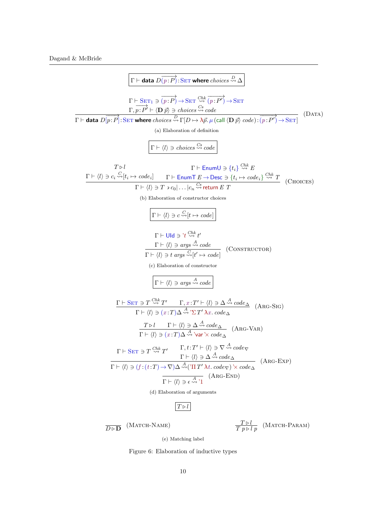$$
\boxed{\Gamma + \text{data } D(\overline{p}; P) : \text{SET where choices } \frac{\partial \Delta}{\partial \Delta} \boxed{\Gamma + \text{SET } \exists (\overline{p}; P) \rightarrow \text{SET} \text{ where choices } \frac{\partial \Delta}{\partial \Delta} \boxed{\Gamma + \frac{\partial \Delta}{\partial \Delta} \left(\overline{p}; P\right) \rightarrow \text{SET}}} \boxed{\Gamma + \text{data } D(\overline{p}; P) : \text{SET where choices } \frac{\partial \Delta}{\partial \Delta} \Gamma[D \rightarrow \lambda \overline{p}, \mu \text{ (cal (D  $\overline{p}) code): (\overline{p}; P') \rightarrow \text{SET}} \boxed{\text{(DATA)}}$ \n(a) Elaboration of definition\n(b) Elaboration of definition\n(c) Elaboration of definition\n(d) 
$$
\boxed{\Gamma + \langle l \rangle \ni choice \frac{\partial \Delta}{\partial \Delta} code}
$$
\n
$$
\frac{\Gamma + \langle l \rangle \ni c_i \frac{\partial \Delta}{\partial \Delta} \left(\frac{\partial \Delta}{\partial \Delta} \right)}{\Gamma + \langle l \rangle \ni T \rightarrow 0 \text{ of } ... \mid c_i \frac{\partial \Delta}{\partial \Delta} \text{ return } E \cdot T} \boxed{\text{(DIOICES)}} \boxed{\Gamma + \langle l \rangle \ni c_i \frac{\partial \Delta}{\partial \Delta} \text{ return } E \cdot T} \boxed{\text{(DIOICES)}} \boxed{\Gamma + \langle l \rangle \ni c_i \frac{\partial \Delta}{\partial \Delta} \text{ return } E \cdot T} \boxed{\text{(DIOICES)}} \boxed{\Gamma + \langle l \rangle \ni c_i \frac{\partial \Delta}{\partial \Delta} \text{ if } \Delta \Delta \text{ and } \Delta \Delta \text{ and } \Delta \Delta \text{ and } \Delta \Delta \text{ and } \Delta \Delta \text{ and } \Delta \Delta \text{ and } \Delta \Delta \text{ and } \Delta \Delta \text{ and } \Delta \Delta \text{ and } \Delta \Delta \text{ and } \Delta \Delta \text{ and } \Delta \Delta \text{ and } \Delta \Delta \text{ and } \Delta \Delta \text{ and } \Delta \Delta \text{ and } \Delta \Delta \text{ and } \Delta \Delta \text{ and } \Delta \Delta \text{ and } \Delta \Delta \text{ and } \Delta \Delta \text{ and } \Delta \Delta \text{ and } \Delta \Delta \text{ and } \Delta \Delta \text{ and } \Delta \Delta \text{ and } \Delta \Delta \text{ and } \Delta \Delta \text{ and } \Delta \Delta \text{ and } \Delta \Delta \text{
$$
$$

 $\overline{D \triangleright \mathbf{D}}$  (Match-Name)

 $\frac{T \triangleright l}{T p \triangleright l p}$  (Match-Param)

(e) Matching label

Figure 6: Elaboration of inductive types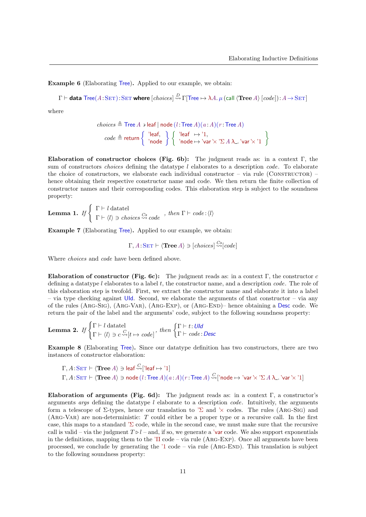Example 6 (Elaborating Tree). Applied to our example, we obtain:

 $\Gamma\vdash$  data Tree $(A\!:\!\rm{SET})\!:\!\rm{SET}$  where  $[choices] \mathop \sim\limits^D \to \Gamma[{\sf Tree}\mapsto \lambda A.\,\mu\,(\text{call}\,\langle{\bf Tree}\,A\rangle\, [code]):A\to \rm{SET}]$ 

where

$$
\begin{aligned} \textit{choices} & \triangleq \text{Tree } A \ni \textsf{leaf} \mid \textsf{node} \, (l\colon \textsf{Tree } A) (a\colon \! \! A) (r\colon \textsf{Tree } A) \\ \textit{code} & \triangleq \textsf{return} \left\{ \begin{array}{c} \text{'leaf},\\ \text{'node} \end{array} \right\} \left\{ \begin{array}{c} \text{'leaf} & \mapsto \text{'1},\\ \text{'node} & \mapsto \text{'var } \times \text{'\texttt{S}} \, A \, \texttt{A} \ldots \text{'var } \times \text{'1} \end{array} \right\} \end{aligned}
$$

Elaboration of constructor choices (Fig. 6b): The judgment reads as: in a context Γ, the sum of constructors *choices* defining the datatype  $l$  elaborates to a description *code*. To elaborate the choice of constructors, we elaborate each individual constructor – via rule (CONSTRUCTOR) – hence obtaining their respective constructor name and code. We then return the finite collection of constructor names and their corresponding codes. This elaboration step is subject to the soundness property:

**Lemma 1.** If 
$$
\begin{cases} \Gamma \vdash l \text{ datatel} \\ \Gamma \vdash \langle l \rangle \ni choices \stackrel{Cs}{\leadsto} code \end{cases}
$$
, then  $\Gamma \vdash code : \langle l \rangle$ 

Example 7 (Elaborating Tree). Applied to our example, we obtain:

$$
\Gamma, A: \text{SET} \vdash \langle \text{Tree } A \rangle \ni [choice] \stackrel{Cs}{\leadsto} [code]
$$

Where *choices* and *code* have been defined above.

Elaboration of constructor (Fig. 6c): The judgment reads as: in a context Γ, the constructor c defining a datatype l elaborates to a label t, the constructor name, and a description  $code$ . The role of this elaboration step is twofold. First, we extract the constructor name and elaborate it into a label – via type checking against UId. Second, we elaborate the arguments of that constructor – via any of the rules (Arg-Sig), (Arg-Var), (Arg-Exp), or (Arg-End)– hence obtaining a Desc code. We return the pair of the label and the arguments' code, subject to the following soundness property:

**Lemma 2.** If 
$$
\begin{cases} \Gamma \vdash l \text{ datatel} \\ \Gamma \vdash \langle l \rangle \ni c \stackrel{C}{\leadsto} [t \mapsto code] \end{cases}
$$
, then  $\begin{cases} \Gamma \vdash t : U \text{Id} \\ \Gamma \vdash code : Desc \end{cases}$ 

Example 8 (Elaborating Tree). Since our datatype definition has two constructors, there are two instances of constructor elaboration:

$$
\Gamma, A: \text{SET} \vdash \langle \text{Tree } A \rangle \ni \text{leaf} \stackrel{C}{\leadsto} [` \text{leaf } \mapsto `1]
$$
\n
$$
\Gamma, A: \text{SET} \vdash \langle \text{Tree } A \rangle \ni \text{node } (l: \text{Tree } A)(a:A)(r: \text{Tree } A) \stackrel{C}{\leadsto} [` \text{node } \mapsto ` \text{var } ` \times ` \Sigma \, A \, \lambda \_ \cdot \text{var } ` \times `1]
$$

Elaboration of arguments (Fig. 6d): The judgment reads as: in a context  $\Gamma$ , a constructor's arguments *args* defining the datatype  $l$  elaborate to a description *code*. Intuitively, the arguments form a telescope of  $\Sigma$ -types, hence our translation to  $\Sigma$  and  $\times$  codes. The rules (ARG-SIG) and (Arg-Var) are non-deterministic: T could either be a proper type or a recursive call. In the first case, this maps to a standard  $\Sigma$  code, while in the second case, we must make sure that the recursive call is valid – via the judgment  $T \triangleright l$  – and, if so, we generate a 'var code. We also support exponentials in the definitions, mapping them to the 'Π code – via rule (Arg-Exp). Once all arguments have been processed, we conclude by generating the  $'1 \text{ code } -$  via rule (ARG-END). This translation is subject to the following soundness property: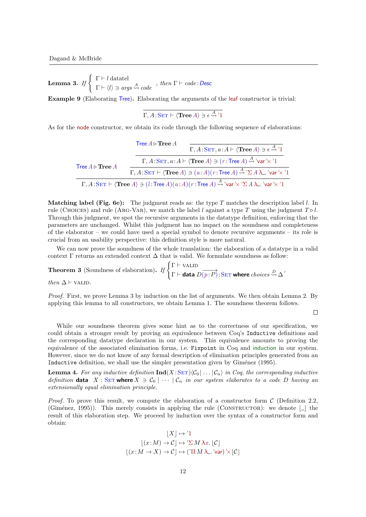**Lemma 3.** If  $\left\{\begin{array}{c} \Gamma \vdash l \text{ data} \end{array}\right.$  $\Gamma \vdash \langle l \rangle \ni \mathit{args} \stackrel{A}{\leadsto} code$ , then  $\Gamma \vdash code \colon \mathsf{Desc}$ 

Example 9 (Elaborating Tree). Elaborating the arguments of the leaf constructor is trivial:

 $\Gamma, A\!:\!\mathrm{SET} \vdash \langle \mathbf{Tree}\,A \rangle \ni \epsilon \stackrel{A}{\leadsto} {}^{\backprime}1$ 

As for the node constructor, we obtain its code through the following sequence of elaborations:

|                                  | Tree $A \triangleright$ Tree $A$<br>$\Gamma, A: \text{SET}, a: A \vdash \langle \text{Tree } A \rangle \ni \epsilon \stackrel{A}{\leadsto} 1$                                                                  |  |
|----------------------------------|----------------------------------------------------------------------------------------------------------------------------------------------------------------------------------------------------------------|--|
| Tree $A \triangleright$ Tree $A$ | $\Gamma, A: \text{SET}, a: A \vdash \langle \text{Tree } A \rangle \ni (r: \text{Tree } A) \stackrel{A}{\rightsquigarrow} \text{Var'} \times \text{Var}$                                                       |  |
|                                  | $\Gamma, A:\text{SET} \vdash \langle \text{Tree } A \rangle \ni (a:A)(r:\text{Tree } A) \stackrel{A}{\rightsquigarrow} \sum A \lambda$ . 'var' $\times$ '1                                                     |  |
|                                  | $\Gamma, A: \text{SET} \vdash \langle \text{Tree } A \rangle \ni (l: \text{Tree } A)(a:A)(r: \text{Tree } A) \stackrel{A}{\rightsquigarrow} \text{'var'} \times \text{'$\Sigma$ } A \lambda$ 'var' $\times$ '1 |  |

**Matching label (Fig. 6e):** The judgment reads as: the type T matches the description label  $l$ . In rule (CHOICES) and rule (ARG-VAR), we match the label l against a type T using the judgment  $T \triangleright l$ . Through this judgment, we spot the recursive arguments in the datatype definition, enforcing that the parameters are unchanged. Whilst this judgment has no impact on the soundness and completeness of the elaborator – we could have used a special symbol to denote recursive arguments – its role is crucial from an usability perspective: this definition style is more natural.

We can now prove the soundness of the whole translation: the elaboration of a datatype in a valid context  $\Gamma$  returns an extended context  $\Delta$  that is valid. We formulate soundness as follow:

**Theorem 3** (Soundness of elaboration). If  $\begin{cases} \Gamma \vdash \text{VALID} \\ \Gamma \vdash \text{VALID} \end{cases}$  $\Gamma \vdash$  data  $\overrightarrow{D(p:P)}$  : SET where  $choices \stackrel{D}{\leadsto} \Delta'$ then  $\Delta \vdash$  VALID.

Proof. First, we prove Lemma 3 by induction on the list of arguments. We then obtain Lemma 2. By applying this lemma to all constructors, we obtain Lemma 1. The soundness theorem follows.

 $\Box$ 

While our soundness theorem gives some hint as to the correctness of our specification, we could obtain a stronger result by proving an equivalence between Coq's Inductive definitions and the corresponding datatype declaration in our system. This equivalence amounts to proving the equivalence of the associated elimination forms, i.e. Fixpoint in Coq and induction in our system. However, since we do not know of any formal description of elimination principles generated from an Inductive definition, we shall use the simpler presentation given by Giménez (1995).

**Lemma 4.** For any inductive definition  $\text{Ind}(X:\text{SET})\langle\mathcal{C}_0 | \dots | \mathcal{C}_n \rangle$  in Coq, the corresponding inductive definition data  $X : \text{SET where } X \ni \mathcal{C}_0 \mid \cdots \mid \mathcal{C}_n$  in our system elaborates to a code D having an extensionally equal elimination principle.

*Proof.* To prove this result, we compute the elaboration of a constructor form  $\mathcal{C}$  (Definition 2.2, (Giménez, 1995)). This merely consists in applying the rule (CONSTRUCTOR): we denote  $| \_ |$  the result of this elaboration step. We proceed by induction over the syntax of a constructor form and obtain:

$$
[X] \mapsto {}^{\prime}1
$$

$$
[(x:M) \to C] \mapsto {}^{\prime}\Sigma M \lambda x. [\mathcal{C}]
$$

$$
[(x:M \to X) \to \mathcal{C}] \mapsto (I \Pi M \lambda .. {}^{\prime} \text{var}) \times [\mathcal{C}]
$$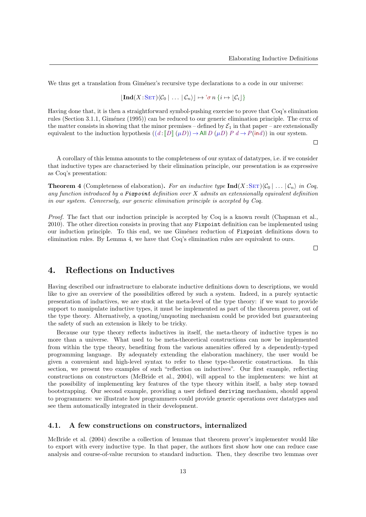We thus get a translation from Giménez's recursive type declarations to a code in our universe:

$$
[\mathbf{Ind}(X:\mathrm{SET})\langle \mathcal{C}_0 | \ldots | \mathcal{C}_n \rangle] \mapsto \sigma n \{i \mapsto [\mathcal{C}_i] \}
$$

Having done that, it is then a straightforward symbol-pushing exercise to prove that Coq's elimination rules (Section 3.1.1, Giménez (1995)) can be reduced to our generic elimination principle. The crux of the matter consists in showing that the minor premises – defined by  $\mathcal{E}_1$  in that paper – are extensionally equivalent to the induction hypothesis  $((d : ||D|| (\mu D)) \rightarrow$ All  $D (\mu D) P d \rightarrow P(\text{ind}))$  in our system.

 $\Box$ 

A corollary of this lemma amounts to the completeness of our syntax of datatypes, i.e. if we consider that inductive types are characterised by their elimination principle, our presentation is as expressive as Coq's presentation:

**Theorem 4** (Completeness of elaboration). For an inductive type  $\text{Ind}(X \text{:} \text{SET})\langle C_0 | \dots | C_n \rangle$  in Coq, any function introduced by a Fixpoint definition over  $X$  admits an extensionally equivalent definition in our system. Conversely, our generic elimination principle is accepted by Coq.

Proof. The fact that our induction principle is accepted by Coq is a known result (Chapman et al., 2010). The other direction consists in proving that any Fixpoint definition can be implemented using our induction principle. To this end, we use Giménez reduction of Fixpoint definitions down to elimination rules. By Lemma 4, we have that Coq's elimination rules are equivalent to ours.

 $\Box$ 

## 4. Reflections on Inductives

Having described our infrastructure to elaborate inductive definitions down to descriptions, we would like to give an overview of the possibilities offered by such a system. Indeed, in a purely syntactic presentation of inductives, we are stuck at the meta-level of the type theory: if we want to provide support to manipulate inductive types, it must be implemented as part of the theorem prover, out of the type theory. Alternatively, a quoting/unquoting mechanism could be provided but guaranteeing the safety of such an extension is likely to be tricky.

Because our type theory reflects inductives in itself, the meta-theory of inductive types is no more than a universe. What used to be meta-theoretical constructions can now be implemented from within the type theory, benefiting from the various amenities offered by a dependently-typed programming language. By adequately extending the elaboration machinery, the user would be given a convenient and high-level syntax to refer to these type-theoretic constructions. In this section, we present two examples of such "reflection on inductives". Our first example, reflecting constructions on constructors (McBride et al., 2004), will appeal to the implementers: we hint at the possibility of implementing key features of the type theory within itself, a baby step toward bootstrapping. Our second example, providing a user defined deriving mechanism, should appeal to programmers: we illustrate how programmers could provide generic operations over datatypes and see them automatically integrated in their development.

#### 4.1. A few constructions on constructors, internalized

McBride et al. (2004) describe a collection of lemmas that theorem prover's implementer would like to export with every inductive type. In that paper, the authors first show how one can reduce case analysis and course-of-value recursion to standard induction. Then, they describe two lemmas over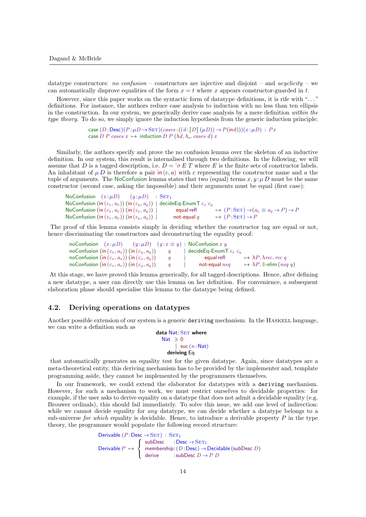datatype constructors: no confusion – constructors are injective and disjoint – and  $acyclicity$  – we can automatically disprove equalities of the form  $x = t$  where x appears constructor-guarded in t.

However, since this paper works on the syntactic form of datatype definitions, it is rife with "..." definitions. For instance, the authors reduce case analysis to induction with no less than ten ellipsis in the construction. In our system, we generically derive case analysis by a mere definition within the type theory. To do so, we simply ignore the induction hypothesis from the generic induction principle:

```
case (D:Desc)(P:\mu D \to SET)(cases: (d:[[D]](\mu D)) \to P(\text{ind}))(x:\mu D): Pxcase D P cases x \mapsto induction D P (\lambda d. \lambda . cases d) x
```
Similarly, the authors specify and prove the no confusion lemma over the skeleton of an inductive definition. In our system, this result is internalised through two definitions. In the following, we will assume that D is a tagged description, i.e.  $D = \sigma E T$  where E is the finite sets of constructor labels. An inhabitant of  $\mu D$  is therefore a pair in  $(c, a)$  with c representing the constructor name and a the tuple of arguments. The NoConfusion lemma states that two (equal) terms  $x, y : \mu D$  must be the same constructor (second case, asking the impossible) and their arguments must be equal (first case):

| NoConfusion $(x:\mu D)$ $(y:\mu D)$                                            | $SET_1$       |                                                                                    |
|--------------------------------------------------------------------------------|---------------|------------------------------------------------------------------------------------|
| NoConfusion (in $(c_x, a_x)$ ) (in $(c_y, a_y)$ )   decideEq-EnumT $c_x$ $c_y$ |               |                                                                                    |
| NoConfusion (in $(c_x, a_x)$ ) (in $(c_x, a_y)$ )                              | equal refl    | $\mapsto (P: \text{SET}) \rightarrow (a_x \equiv a_y \rightarrow P) \rightarrow P$ |
| NoConfusion (in $(c_x, a_x)$ ) (in $(c_y, a_y)$ )                              | not-equal $q$ | $\mapsto (P:SET) \rightarrow P$                                                    |

The proof of this lemma consists simply in deciding whether the constructor tag are equal or not, hence discriminating the constructors and deconstructing the equality proof:

|                                                                   |  |  | noConfusion $(x:\mu D)$ $(y:\mu D)$ $(q:x \equiv y)$ : NoConfusion x y |                                               |
|-------------------------------------------------------------------|--|--|------------------------------------------------------------------------|-----------------------------------------------|
| noConfusion $(\text{in } (c_x, a_x))$ $(\text{in } (c_y, a_y))$ q |  |  | decideEq-EnumT $c_x$ $c_y$                                             |                                               |
| noConfusion (in $(c_x, a_x)$ ) (in $(c_x, a_y)$ )                 |  |  | equal refl                                                             | $\rightarrow \lambda P. \lambda rec.$ rec.    |
| noConfusion (in $(c_x, a_x)$ ) (in $(c_y, a_y)$ )                 |  |  | not-equal $nea$                                                        | $\mapsto \lambda P$ . 0-elim ( <i>neq q</i> ) |

At this stage, we have proved this lemma generically, for all tagged descriptions. Hence, after defining a new datatype, a user can directly use this lemma on her definition. For convenience, a subsequent elaboration phase should specialise this lemma to the datatype being defined.

#### 4.2. Deriving operations on datatypes

Another possible extension of our system is a generic deriving mechanism. In the HASKELL language, we can write a definition such as

data Nat: SET where Nat  $\Rightarrow$  0 | suc  $(n : Nat)$ deriving Eq

that automatically generates an equality test for the given datatype. Again, since datatypes are a meta-theoretical entity, this deriving mechanism has to be provided by the implementer and, template programming aside, they cannot be implemented by the programmers themselves.

In our framework, we could extend the elaborator for datatypes with a deriving mechanism. However, for such a mechanism to work, we must restrict ourselves to decidable properties: for example, if the user asks to derive equality on a datatype that does not admit a decidable equality (e.g. Brouwer ordinals), this should fail immediately. To solve this issue, we add one level of indirection: while we cannot decide equality for *any* datatype, we can decide whether a datatype belongs to a sub-universe for which equality is decidable. Hence, to introduce a derivable property  $P$  in the type theory, the programmer would populate the following record structure:

```
Derivable (P:\text{Desc}\to \text{SET}): \text{SET}_1Derivable P \mapsto\sqrt{ }J
                       \mathcal{L}subDesc : Desc \rightarrow SET<sub>1</sub>
                            membership: (D : \text{Desc}) \rightarrow \text{Decidable} (subDesc D)
                            derive : subDesc D \to P D
```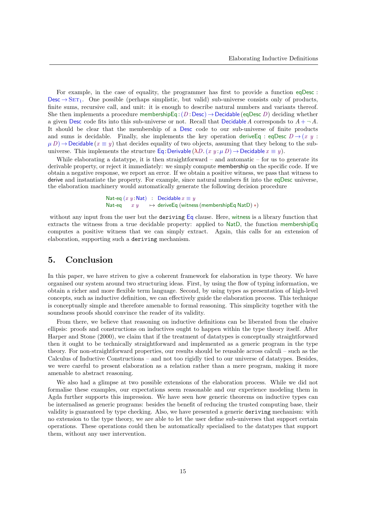For example, in the case of equality, the programmer has first to provide a function eqDesc : Desc  $\rightarrow$  SET<sub>1</sub>. One possible (perhaps simplistic, but valid) sub-universe consists only of products, finite sums, recursive call, and unit: it is enough to describe natural numbers and variants thereof. She then implements a procedure membershipEq :  $(D : Desc) \rightarrow$  Decidable (eqDesc D) deciding whether a given Desc code fits into this sub-universe or not. Recall that Decidable A corresponds to  $A + \neg A$ . It should be clear that the membership of a Desc code to our sub-universe of finite products and sums is decidable. Finally, she implements the key operation derive Eq : eqDesc  $D \rightarrow (x \, y \, :$  $\mu$  D)  $\rightarrow$  Decidable ( $x \equiv y$ ) that decides equality of two objects, assuming that they belong to the subuniverse. This implements the structure Eq:Derivable ( $\lambda D$ . (x y: $\mu D$ )  $\rightarrow$  Decidable  $x \equiv y$ ).

While elaborating a datatype, it is then straightforward – and automatic – for us to generate its derivable property, or reject it immediately: we simply compute membership on the specific code. If we obtain a negative response, we report an error. If we obtain a positive witness, we pass that witness to derive and instantiate the property. For example, since natural numbers fit into the eqDesc universe, the elaboration machinery would automatically generate the following decision procedure

> Nat-eq  $(x y : \text{Nat})$  : Decidable  $x \equiv y$ Nat-eq  $x y \rightarrow$  deriveEq (witness (membershipEq NatD)  $*)$

without any input from the user but the deriving Eq clause. Here, witness is a library function that extracts the witness from a true decidable property: applied to NatD, the function membershipEq computes a positive witness that we can simply extract. Again, this calls for an extension of elaboration, supporting such a deriving mechanism.

# 5. Conclusion

In this paper, we have striven to give a coherent framework for elaboration in type theory. We have organised our system around two structuring ideas. First, by using the flow of typing information, we obtain a richer and more flexible term language. Second, by using types as presentation of high-level concepts, such as inductive definition, we can effectively guide the elaboration process. This technique is conceptually simple and therefore amenable to formal reasoning. This simplicity together with the soundness proofs should convince the reader of its validity.

From there, we believe that reasoning on inductive definitions can be liberated from the elusive ellipsis: proofs and constructions on inductives ought to happen within the type theory itself. After Harper and Stone (2000), we claim that if the treatment of datatypes is conceptually straightforward then it ought to be technically straightforward and implemented as a generic program in the type theory. For non-straightforward properties, our results should be reusable across calculi – such as the Calculus of Inductive Constructions – and not too rigidly tied to our universe of datatypes. Besides, we were careful to present elaboration as a relation rather than a mere program, making it more amenable to abstract reasoning.

We also had a glimpse at two possible extensions of the elaboration process. While we did not formalise these examples, our expectations seem reasonable and our experience modeling them in Agda further supports this impression. We have seen how generic theorems on inductive types can be internalised as generic programs: besides the benefit of reducing the trusted computing base, their validity is guaranteed by type checking. Also, we have presented a generic deriving mechanism: with no extension to the type theory, we are able to let the user define sub-universes that support certain operations. These operations could then be automatically specialised to the datatypes that support them, without any user intervention.